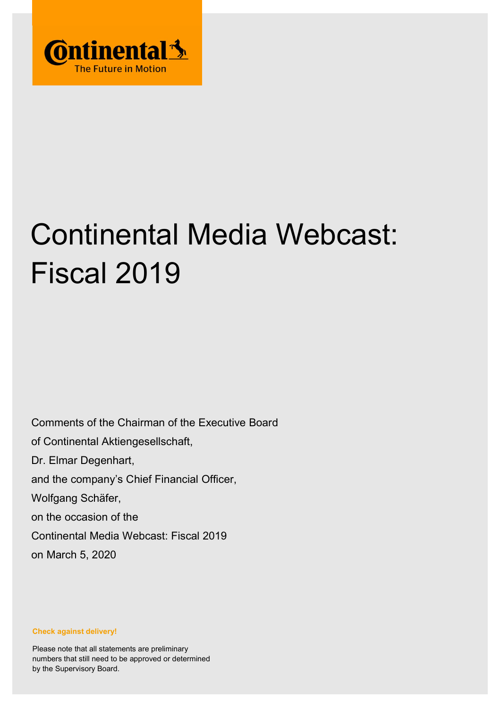

## Continental Media Webcast: Fiscal 2019

Comments of the Chairman of the Executive Board of Continental Aktiengesellschaft, Dr. Elmar Degenhart, and the company's Chief Financial Officer, Wolfgang Schäfer, on the occasion of the Continental Media Webcast: Fiscal 2019 on March 5, 2020

Check against delivery!

Please note that all statements are preliminary numbers that still need to be approved or determined by the Supervisory Board.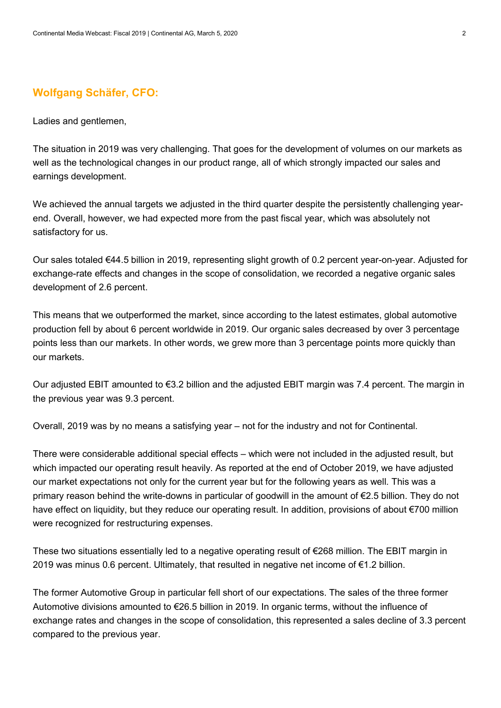## Wolfgang Schäfer, CFO:

Ladies and gentlemen,

The situation in 2019 was very challenging. That goes for the development of volumes on our markets as well as the technological changes in our product range, all of which strongly impacted our sales and earnings development.

We achieved the annual targets we adjusted in the third quarter despite the persistently challenging yearend. Overall, however, we had expected more from the past fiscal year, which was absolutely not satisfactory for us.

Our sales totaled €44.5 billion in 2019, representing slight growth of 0.2 percent year-on-year. Adjusted for exchange-rate effects and changes in the scope of consolidation, we recorded a negative organic sales development of 2.6 percent.

This means that we outperformed the market, since according to the latest estimates, global automotive production fell by about 6 percent worldwide in 2019. Our organic sales decreased by over 3 percentage points less than our markets. In other words, we grew more than 3 percentage points more quickly than our markets.

Our adjusted EBIT amounted to €3.2 billion and the adjusted EBIT margin was 7.4 percent. The margin in the previous year was 9.3 percent.

Overall, 2019 was by no means a satisfying year – not for the industry and not for Continental.

There were considerable additional special effects – which were not included in the adjusted result, but which impacted our operating result heavily. As reported at the end of October 2019, we have adjusted our market expectations not only for the current year but for the following years as well. This was a primary reason behind the write-downs in particular of goodwill in the amount of €2.5 billion. They do not have effect on liquidity, but they reduce our operating result. In addition, provisions of about €700 million were recognized for restructuring expenses.

These two situations essentially led to a negative operating result of €268 million. The EBIT margin in 2019 was minus 0.6 percent. Ultimately, that resulted in negative net income of €1.2 billion.

The former Automotive Group in particular fell short of our expectations. The sales of the three former Automotive divisions amounted to €26.5 billion in 2019. In organic terms, without the influence of exchange rates and changes in the scope of consolidation, this represented a sales decline of 3.3 percent compared to the previous year.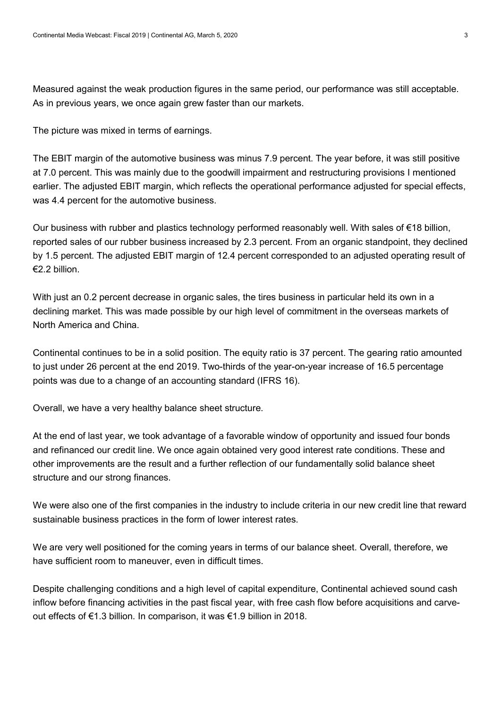Measured against the weak production figures in the same period, our performance was still acceptable. As in previous years, we once again grew faster than our markets.

The picture was mixed in terms of earnings.

The EBIT margin of the automotive business was minus 7.9 percent. The year before, it was still positive at 7.0 percent. This was mainly due to the goodwill impairment and restructuring provisions I mentioned earlier. The adjusted EBIT margin, which reflects the operational performance adjusted for special effects, was 4.4 percent for the automotive business.

Our business with rubber and plastics technology performed reasonably well. With sales of €18 billion, reported sales of our rubber business increased by 2.3 percent. From an organic standpoint, they declined by 1.5 percent. The adjusted EBIT margin of 12.4 percent corresponded to an adjusted operating result of €2.2 billion.

With just an 0.2 percent decrease in organic sales, the tires business in particular held its own in a declining market. This was made possible by our high level of commitment in the overseas markets of North America and China.

Continental continues to be in a solid position. The equity ratio is 37 percent. The gearing ratio amounted to just under 26 percent at the end 2019. Two-thirds of the year-on-year increase of 16.5 percentage points was due to a change of an accounting standard (IFRS 16).

Overall, we have a very healthy balance sheet structure.

At the end of last year, we took advantage of a favorable window of opportunity and issued four bonds and refinanced our credit line. We once again obtained very good interest rate conditions. These and other improvements are the result and a further reflection of our fundamentally solid balance sheet structure and our strong finances.

We were also one of the first companies in the industry to include criteria in our new credit line that reward sustainable business practices in the form of lower interest rates.

We are very well positioned for the coming years in terms of our balance sheet. Overall, therefore, we have sufficient room to maneuver, even in difficult times.

Despite challenging conditions and a high level of capital expenditure, Continental achieved sound cash inflow before financing activities in the past fiscal year, with free cash flow before acquisitions and carveout effects of €1.3 billion. In comparison, it was €1.9 billion in 2018.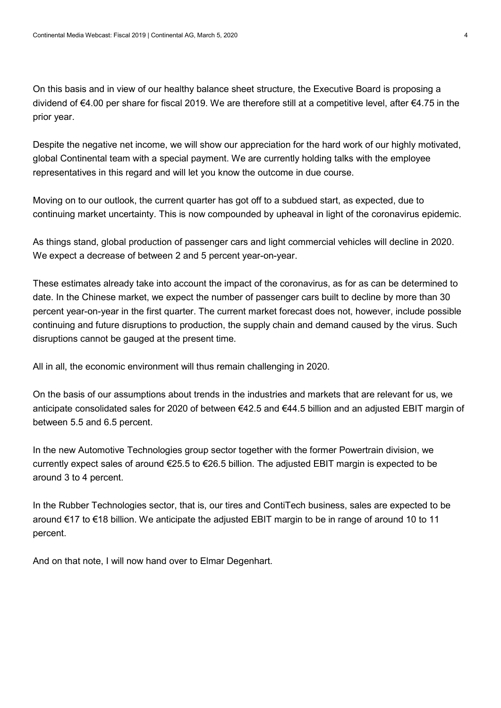On this basis and in view of our healthy balance sheet structure, the Executive Board is proposing a dividend of €4.00 per share for fiscal 2019. We are therefore still at a competitive level, after €4.75 in the prior year.

Despite the negative net income, we will show our appreciation for the hard work of our highly motivated, global Continental team with a special payment. We are currently holding talks with the employee representatives in this regard and will let you know the outcome in due course.

Moving on to our outlook, the current quarter has got off to a subdued start, as expected, due to continuing market uncertainty. This is now compounded by upheaval in light of the coronavirus epidemic.

As things stand, global production of passenger cars and light commercial vehicles will decline in 2020. We expect a decrease of between 2 and 5 percent year-on-year.

These estimates already take into account the impact of the coronavirus, as for as can be determined to date. In the Chinese market, we expect the number of passenger cars built to decline by more than 30 percent year-on-year in the first quarter. The current market forecast does not, however, include possible continuing and future disruptions to production, the supply chain and demand caused by the virus. Such disruptions cannot be gauged at the present time.

All in all, the economic environment will thus remain challenging in 2020.

On the basis of our assumptions about trends in the industries and markets that are relevant for us, we anticipate consolidated sales for 2020 of between €42.5 and €44.5 billion and an adjusted EBIT margin of between 5.5 and 6.5 percent.

In the new Automotive Technologies group sector together with the former Powertrain division, we currently expect sales of around €25.5 to €26.5 billion. The adjusted EBIT margin is expected to be around 3 to 4 percent.

In the Rubber Technologies sector, that is, our tires and ContiTech business, sales are expected to be around €17 to €18 billion. We anticipate the adjusted EBIT margin to be in range of around 10 to 11 percent.

And on that note, I will now hand over to Elmar Degenhart.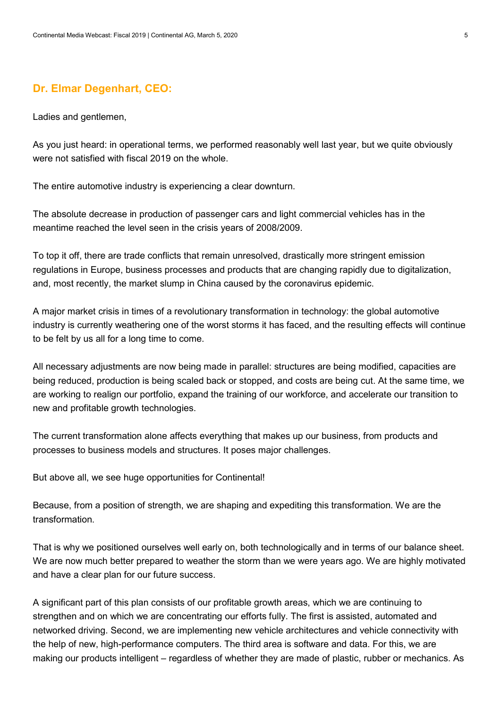## Dr. Elmar Degenhart, CEO:

Ladies and gentlemen,

As you just heard: in operational terms, we performed reasonably well last year, but we quite obviously were not satisfied with fiscal 2019 on the whole.

The entire automotive industry is experiencing a clear downturn.

The absolute decrease in production of passenger cars and light commercial vehicles has in the meantime reached the level seen in the crisis years of 2008/2009.

To top it off, there are trade conflicts that remain unresolved, drastically more stringent emission regulations in Europe, business processes and products that are changing rapidly due to digitalization, and, most recently, the market slump in China caused by the coronavirus epidemic.

A major market crisis in times of a revolutionary transformation in technology: the global automotive industry is currently weathering one of the worst storms it has faced, and the resulting effects will continue to be felt by us all for a long time to come.

All necessary adjustments are now being made in parallel: structures are being modified, capacities are being reduced, production is being scaled back or stopped, and costs are being cut. At the same time, we are working to realign our portfolio, expand the training of our workforce, and accelerate our transition to new and profitable growth technologies.

The current transformation alone affects everything that makes up our business, from products and processes to business models and structures. It poses major challenges.

But above all, we see huge opportunities for Continental!

Because, from a position of strength, we are shaping and expediting this transformation. We are the transformation.

That is why we positioned ourselves well early on, both technologically and in terms of our balance sheet. We are now much better prepared to weather the storm than we were years ago. We are highly motivated and have a clear plan for our future success.

A significant part of this plan consists of our profitable growth areas, which we are continuing to strengthen and on which we are concentrating our efforts fully. The first is assisted, automated and networked driving. Second, we are implementing new vehicle architectures and vehicle connectivity with the help of new, high-performance computers. The third area is software and data. For this, we are making our products intelligent – regardless of whether they are made of plastic, rubber or mechanics. As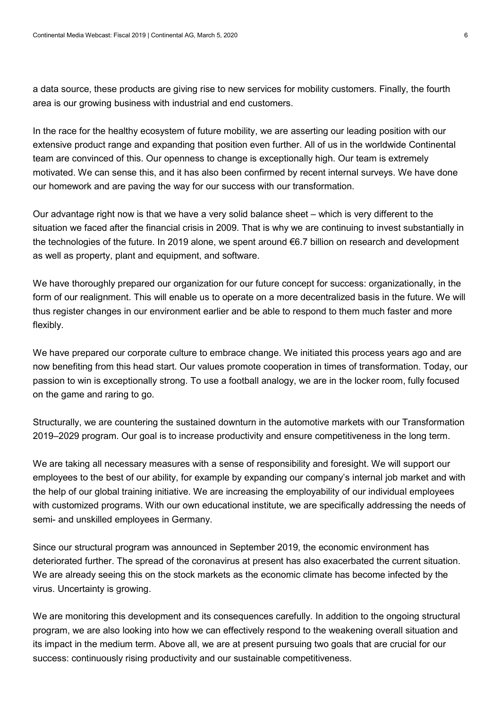a data source, these products are giving rise to new services for mobility customers. Finally, the fourth area is our growing business with industrial and end customers.

In the race for the healthy ecosystem of future mobility, we are asserting our leading position with our extensive product range and expanding that position even further. All of us in the worldwide Continental team are convinced of this. Our openness to change is exceptionally high. Our team is extremely motivated. We can sense this, and it has also been confirmed by recent internal surveys. We have done our homework and are paving the way for our success with our transformation.

Our advantage right now is that we have a very solid balance sheet – which is very different to the situation we faced after the financial crisis in 2009. That is why we are continuing to invest substantially in the technologies of the future. In 2019 alone, we spent around €6.7 billion on research and development as well as property, plant and equipment, and software.

We have thoroughly prepared our organization for our future concept for success: organizationally, in the form of our realignment. This will enable us to operate on a more decentralized basis in the future. We will thus register changes in our environment earlier and be able to respond to them much faster and more flexibly.

We have prepared our corporate culture to embrace change. We initiated this process years ago and are now benefiting from this head start. Our values promote cooperation in times of transformation. Today, our passion to win is exceptionally strong. To use a football analogy, we are in the locker room, fully focused on the game and raring to go.

Structurally, we are countering the sustained downturn in the automotive markets with our Transformation 2019–2029 program. Our goal is to increase productivity and ensure competitiveness in the long term.

We are taking all necessary measures with a sense of responsibility and foresight. We will support our employees to the best of our ability, for example by expanding our company's internal job market and with the help of our global training initiative. We are increasing the employability of our individual employees with customized programs. With our own educational institute, we are specifically addressing the needs of semi- and unskilled employees in Germany.

Since our structural program was announced in September 2019, the economic environment has deteriorated further. The spread of the coronavirus at present has also exacerbated the current situation. We are already seeing this on the stock markets as the economic climate has become infected by the virus. Uncertainty is growing.

We are monitoring this development and its consequences carefully. In addition to the ongoing structural program, we are also looking into how we can effectively respond to the weakening overall situation and its impact in the medium term. Above all, we are at present pursuing two goals that are crucial for our success: continuously rising productivity and our sustainable competitiveness.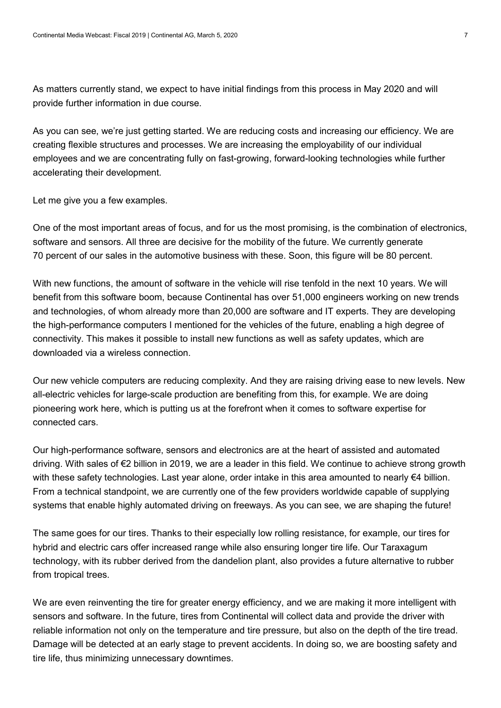As matters currently stand, we expect to have initial findings from this process in May 2020 and will provide further information in due course.

As you can see, we're just getting started. We are reducing costs and increasing our efficiency. We are creating flexible structures and processes. We are increasing the employability of our individual employees and we are concentrating fully on fast-growing, forward-looking technologies while further accelerating their development.

Let me give you a few examples.

One of the most important areas of focus, and for us the most promising, is the combination of electronics, software and sensors. All three are decisive for the mobility of the future. We currently generate 70 percent of our sales in the automotive business with these. Soon, this figure will be 80 percent.

With new functions, the amount of software in the vehicle will rise tenfold in the next 10 years. We will benefit from this software boom, because Continental has over 51,000 engineers working on new trends and technologies, of whom already more than 20,000 are software and IT experts. They are developing the high-performance computers I mentioned for the vehicles of the future, enabling a high degree of connectivity. This makes it possible to install new functions as well as safety updates, which are downloaded via a wireless connection.

Our new vehicle computers are reducing complexity. And they are raising driving ease to new levels. New all-electric vehicles for large-scale production are benefiting from this, for example. We are doing pioneering work here, which is putting us at the forefront when it comes to software expertise for connected cars.

Our high-performance software, sensors and electronics are at the heart of assisted and automated driving. With sales of €2 billion in 2019, we are a leader in this field. We continue to achieve strong growth with these safety technologies. Last year alone, order intake in this area amounted to nearly €4 billion. From a technical standpoint, we are currently one of the few providers worldwide capable of supplying systems that enable highly automated driving on freeways. As you can see, we are shaping the future!

The same goes for our tires. Thanks to their especially low rolling resistance, for example, our tires for hybrid and electric cars offer increased range while also ensuring longer tire life. Our Taraxagum technology, with its rubber derived from the dandelion plant, also provides a future alternative to rubber from tropical trees.

We are even reinventing the tire for greater energy efficiency, and we are making it more intelligent with sensors and software. In the future, tires from Continental will collect data and provide the driver with reliable information not only on the temperature and tire pressure, but also on the depth of the tire tread. Damage will be detected at an early stage to prevent accidents. In doing so, we are boosting safety and tire life, thus minimizing unnecessary downtimes.